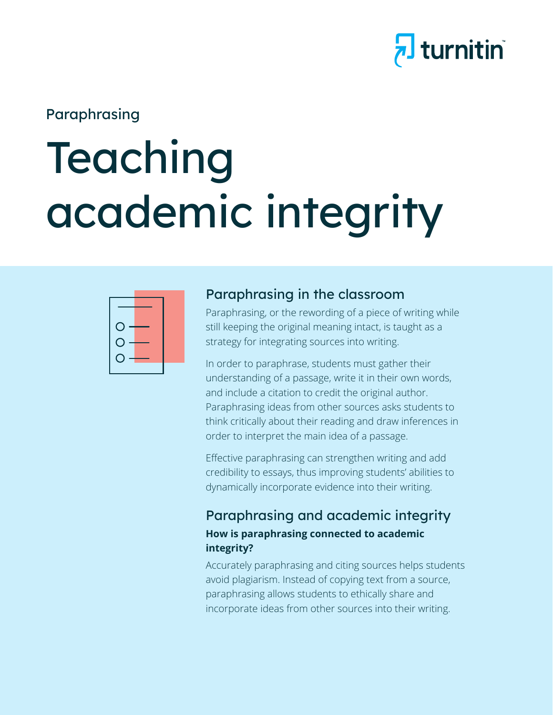

## Paraphrasing

# Teaching academic integrity



#### Paraphrasing in the classroom

Paraphrasing, or the rewording of a piece of writing while still keeping the original meaning intact, is taught as a strategy for integrating sources into writing.

In order to paraphrase, students must gather their understanding of a passage, write it in their own words, and include a citation to credit the original author. Paraphrasing ideas from other sources asks students to think critically about their reading and draw inferences in order to interpret the main idea of a passage.

Effective paraphrasing can strengthen writing and add credibility to essays, thus improving students' abilities to dynamically incorporate evidence into their writing.

#### Paraphrasing and academic integrity **How is paraphrasing connected to academic integrity?**

Accurately paraphrasing and citing sources helps students avoid plagiarism. Instead of copying text from a source, paraphrasing allows students to ethically share and incorporate ideas from other sources into their writing.